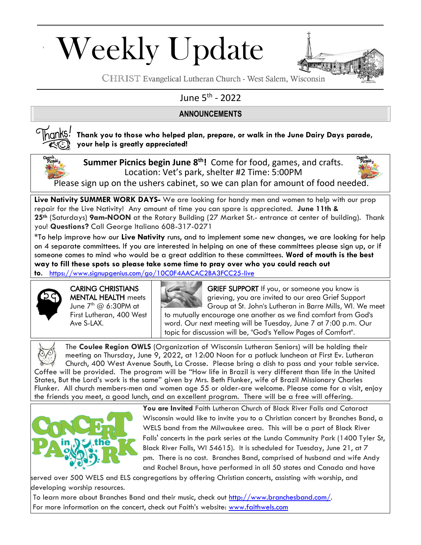# Weekly Update



CHRIST Evangelical Lutheran Church - West Salem, Wisconsin

## June 5<sup>th</sup> - 2022

## **ANNOUNCEMENTS**



### **Thank you to those who helped plan, prepare, or walk in the June Dairy Days parade, your help is greatly appreciated!**



**Summer Picnics begin June 8 th!** Come for food, games, and crafts. Location: Vet's park, shelter #2 Time: 5:00PM



Please sign up on the ushers cabinet, so we can plan for amount of food needed.

**Live Nativity SUMMER WORK DAYS-** We are looking for handy men and women to help with our prop repair for the Live Nativity! Any amount of time you can spare is appreciated. **June 11th & 25th** (Saturdays) **9am-NOON** at the Rotary Building (27 Market St.- entrance at center of building). Thank you! **Questions?** Call George Italiano 608-317-0271

\*To help improve how our **Live Nativity** runs, and to implement some new changes, we are looking for help on 4 separate committees. If you are interested in helping on one of these committees please sign up, or if someone comes to mind who would be a great addition to these committees. **Word of mouth is the best way to fill these spots so please take some time to pray over who you could reach out to**. <https://www.signupgenius.com/go/10C0F4AACAC2BA3FCC25-live>



CARING CHRISTIANS MENTAL HEALTH meets June 7<sup>th</sup> @ 6:30PM at First Lutheran, 400 West Ave S-LAX.



GRIEF SUPPORT If you, or someone you know is grieving, you are invited to our area Grief Support Group at St. John's Lutheran in Barre Mills, WI. We meet to mutually encourage one another as we find comfort from God's word. Our next meeting will be Tuesday, June 7 at 7:00 p.m. Our topic for discussion will be, "God's Yellow Pages of Comfort".



The **Coulee Region OWLS** (Organization of Wisconsin Lutheran Seniors) will be holding their meeting on Thursday, June 9, 2022, at 12:00 Noon for a potluck luncheon at First Ev. Lutheran Church, 400 West Avenue South, La Crosse. Please bring a dish to pass and your table service. Coffee will be provided. The program will be "How life in Brazil is very different than life in the United States, But the Lord's work is the same" given by Mrs. Beth Flunker, wife of Brazil Missionary Charles Flunker. All church members-men and women age 55 or older-are welcome. Please come for a visit, enjoy the friends you meet, a good lunch, and an excellent program. There will be a free will offering.



**You are Invited** Faith Lutheran Church of Black River Falls and Cataract Wisconsin would like to invite you to a Christian concert by Branches Band, a WELS band from the Milwaukee area. This will be a part of Black River Falls' concerts in the park series at the Lunda Community Park (1400 Tyler St, Black River Falls, WI 54615). It is scheduled for Tuesday, June 21, at 7 pm. There is no cost. Branches Band, comprised of husband and wife Andy and Rachel Braun, have performed in all 50 states and Canada and have

served over 500 WELS and ELS congregations by offering Christian concerts, assisting with worship, and developing worship resources.

To learn more about Branches Band and their music, check out [http://www.branchesband.com/.](http://www.branchesband.com/) For more information on the concert, check out Faith's website: [www.faithwels.com](http://www.faithwels.com/)